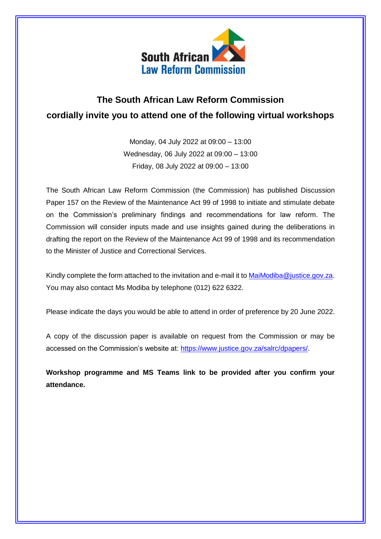

## **The South African Law Reform Commission cordially invite you to attend one of the following virtual workshops**

Monday, 04 July 2022 at 09:00 – 13:00 Wednesday, 06 July 2022 at 09:00 – 13:00 Friday, 08 July 2022 at 09:00 – 13:00

The South African Law Reform Commission (the Commission) has published Discussion Paper 157 on the Review of the Maintenance Act 99 of 1998 to initiate and stimulate debate on the Commission's preliminary findings and recommendations for law reform. The Commission will consider inputs made and use insights gained during the deliberations in drafting the report on the Review of the Maintenance Act 99 of 1998 and its recommendation to the Minister of Justice and Correctional Services.

Kindly complete the form attached to the invitation and e-mail it t[o MaiModiba@justice.gov.za.](mailto:MaiModiba@justice.gov.za) You may also contact Ms Modiba by telephone (012) 622 6322.

Please indicate the days you would be able to attend in order of preference by 20 June 2022.

A copy of the discussion paper is available on request from the Commission or may be accessed on the Commission's website at: [https://www.justice.gov.za/salrc/dpapers/.](https://www.justice.gov.za/salrc/dpapers/)

**Workshop programme and MS Teams link to be provided after you confirm your attendance.**